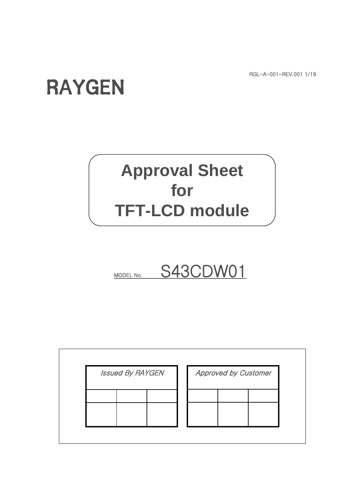RGL-A-001-REV.001 1/19

# RAYGEN

## **Approval Sheet for TFT-LCD module**



| <b>Issued By RAYGEN</b> | <b>Approved by Customer</b> |  |  |  |  |
|-------------------------|-----------------------------|--|--|--|--|
|                         |                             |  |  |  |  |
|                         |                             |  |  |  |  |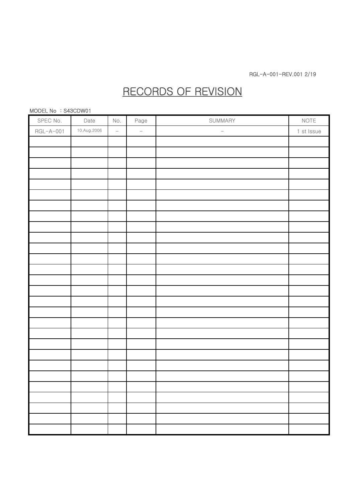## RECORDS OF REVISION

#### MODEL No : S43CDW01

| SPEC No.  | Date        | No.                 | Page     | SUMMARY              | NOTE       |
|-----------|-------------|---------------------|----------|----------------------|------------|
| RGL-A-001 | 10.Aug.2006 | $\bar{\phantom{a}}$ | $\equiv$ | $\frac{1}{\sqrt{2}}$ | 1 st Issue |
|           |             |                     |          |                      |            |
|           |             |                     |          |                      |            |
|           |             |                     |          |                      |            |
|           |             |                     |          |                      |            |
|           |             |                     |          |                      |            |
|           |             |                     |          |                      |            |
|           |             |                     |          |                      |            |
|           |             |                     |          |                      |            |
|           |             |                     |          |                      |            |
|           |             |                     |          |                      |            |
|           |             |                     |          |                      |            |
|           |             |                     |          |                      |            |
|           |             |                     |          |                      |            |
|           |             |                     |          |                      |            |
|           |             |                     |          |                      |            |
|           |             |                     |          |                      |            |
|           |             |                     |          |                      |            |
|           |             |                     |          |                      |            |
|           |             |                     |          |                      |            |
|           |             |                     |          |                      |            |
|           |             |                     |          |                      |            |
|           |             |                     |          |                      |            |
|           |             |                     |          |                      |            |
|           |             |                     |          |                      |            |
|           |             |                     |          |                      |            |
|           |             |                     |          |                      |            |
|           |             |                     |          |                      |            |
|           |             |                     |          |                      |            |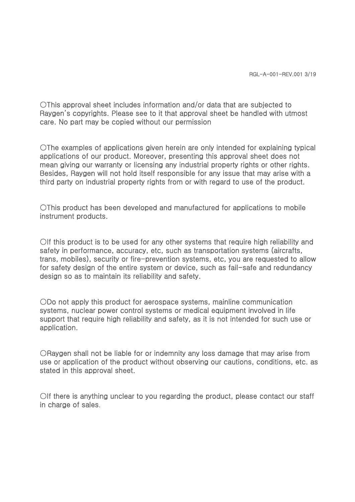○This approval sheet includes information and/or data that are subjected to Raygen's copyrights. Please see to it that approval sheet be handled with utmost care. No part may be copied without our permission

○The examples of applications given herein are only intended for explaining typical applications of our product. Moreover, presenting this approval sheet does not mean giving our warranty or licensing any industrial property rights or other rights. Besides, Raygen will not hold itself responsible for any issue that may arise with a third party on industrial property rights from or with regard to use of the product.

○This product has been developed and manufactured for applications to mobile instrument products.

○If this product is to be used for any other systems that require high reliability and safety in performance, accuracy, etc, such as transportation systems (aircrafts, trans, mobiles), security or fire-prevention systems, etc, you are requested to allow for safety design of the entire system or device, such as fail-safe and redundancy design so as to maintain its reliability and safety.

○Do not apply this product for aerospace systems, mainline communication systems, nuclear power control systems or medical equipment involved in life support that require high reliability and safety, as it is not intended for such use or application.

○Raygen shall not be liable for or indemnity any loss damage that may arise from use or application of the product without observing our cautions, conditions, etc. as stated in this approval sheet.

○If there is anything unclear to you regarding the product, please contact our staff in charge of sales.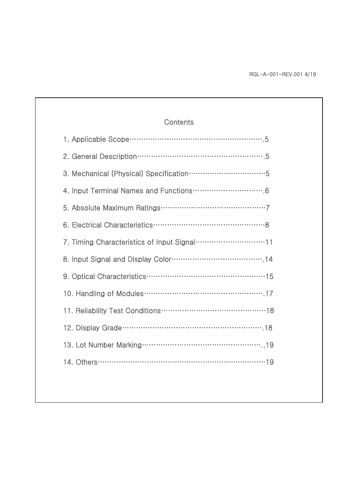| Contents                                                                    |
|-----------------------------------------------------------------------------|
|                                                                             |
|                                                                             |
| 3. Mechanical (Physical) Specification ···································5 |
|                                                                             |
|                                                                             |
|                                                                             |
|                                                                             |
|                                                                             |
|                                                                             |
|                                                                             |
|                                                                             |
|                                                                             |
|                                                                             |
|                                                                             |
|                                                                             |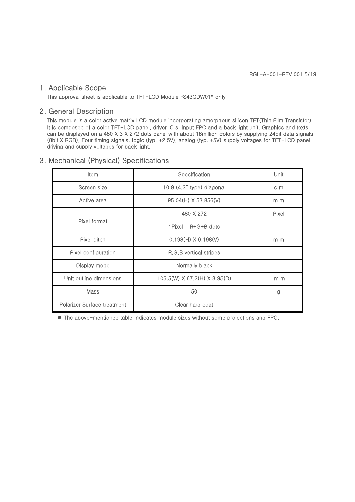#### 1. Applicable Scope

This approval sheet is applicable to TFT-LCD Module **"**S43CDW01**"** only

#### 2. General Description

This module is a color active matrix LCD module incorporating amorphous silicon TFT(Thin Film Transistor) It is composed of a color TFT-LCD panel, driver IC s, Input FPC and a back light unit. Graphics and texts can be displayed on a 480 X 3 X 272 dots panel with about 16million colors by supplying 24bit data signals (8bit X RGB), Four timing signals, logic (typ. +2.5V), analog (typ. +5V) supply voltages for TFT-LCD panel driving and supply voltages for back light.

### 3. Mechanical (Physical) Specifications

| Item                        | Specification                | Unit  |
|-----------------------------|------------------------------|-------|
| Screen size                 | 10.9 (4.3" type) diagonal    | c m   |
| Active area                 | 95.04(H) X 53.856(V)         | m m   |
|                             | 480 X 272                    | Pixel |
| Pixel format                | $1$ Pixel = R+G+B dots       |       |
| Pixel pitch                 | $0.198(H) \times 0.198(V)$   | m m   |
| Pixel configuration         | R, G, B vertical stripes     |       |
| Display mode                | Normally black               |       |
| Unit outline dimensions     | 105.5(W) X 67.2(H) X 3.95(D) | m m   |
| Mass                        | 50                           | g     |
| Polarizer Surface treatment | Clear hard coat              |       |

※ The above-mentioned table indicates module sizes without some projections and FPC.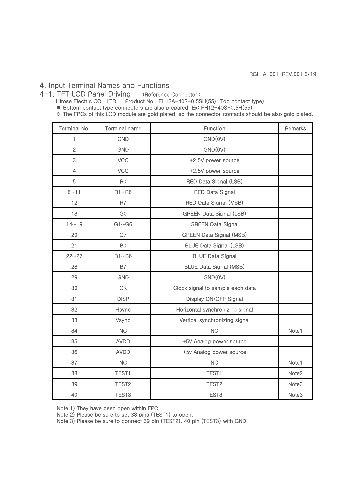## 4. Input Terminal Names and Functions

4-1. TFT LCD Panel Driving (Reference Connector : Hirose Electric CO., LTD. Product No.: FH12A-40S-0.5SH(55) Top contact type) ※ Bottom contact type connectors are also prepared. Ex: FH12-40S-0.5H(55)

※ The FPCs of this LCD module are gold plated, so the connector contacts should be also gold plated.

| Terminal No.   | <b>Terminal name</b> | Function                         | Remarks           |
|----------------|----------------------|----------------------------------|-------------------|
| 1              | <b>GND</b>           | GND(0V)                          |                   |
| $\overline{c}$ | <b>GND</b>           | GND(0V)                          |                   |
| 3              | <b>VCC</b>           | +2.5V power source               |                   |
| $\overline{4}$ | VCC                  | +2.5V power source               |                   |
| 5              | R <sub>0</sub>       | RED Data Signal (LSB)            |                   |
| $6 - 11$       | $R1 - R6$            | <b>RED Data Signal</b>           |                   |
| 12             | R7                   | RED Data Signal (MSB)            |                   |
| 13             | G <sub>0</sub>       | <b>GREEN Data Signal (LSB)</b>   |                   |
| $14 - 19$      | $G1 \sim G6$         | <b>GREEN Data Signal</b>         |                   |
| 20             | G7                   | <b>GREEN Data Signal (MSB)</b>   |                   |
| 21             | B <sub>0</sub>       | <b>BLUE Data Signal (LSB)</b>    |                   |
| $22 - 27$      | $B1 - B6$            | <b>BLUE Data Signal</b>          |                   |
| 28             | <b>B7</b>            | <b>BLUE Data Signal (MSB)</b>    |                   |
| 29             | <b>GND</b>           | GND(0V)                          |                   |
| 30             | <b>CK</b>            | Clock signal to sample each data |                   |
| 31             | <b>DISP</b>          | Display ON/OFF Signal            |                   |
| 32             | Hsync                | Horizontal synchronizing signal  |                   |
| 33             | Vsync                | Vertical synchronizing signal    |                   |
| 34             | <b>NC</b>            | <b>NC</b>                        | Note1             |
| 35             | <b>AVDD</b>          | +5V Analog power source          |                   |
| 36             | <b>AVDD</b>          | +5v Analog power source          |                   |
| 37             | <b>NC</b>            | <b>NC</b>                        | Note1             |
| 38             | TEST1                | <b>TEST1</b>                     | Note2             |
| 39             | TEST <sub>2</sub>    | TEST <sub>2</sub>                | Note <sub>3</sub> |
| 40             | TEST <sub>3</sub>    | TEST <sub>3</sub>                | Note3             |

Note 1) They have been open within FPC.

Note 2) Please be sure to set 38 pins (TEST1) to open.

Note 3) Please be sure to connect 39 pin (TEST2), 40 pin (TEST3) with GND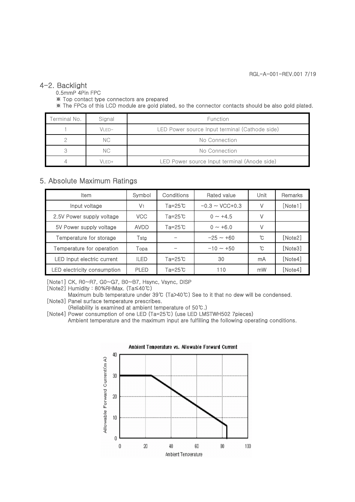#### 4-2. Backlight

0.5mmP 4Pin FPC

※ Top contact type connectors are prepared

※ The FPCs of this LCD module are gold plated, so the connector contacts should be also gold plated.

| Terminal No. | Signal | Function                                       |
|--------------|--------|------------------------------------------------|
|              | VI FD- | LED Power source Input terminal (Cathode side) |
|              | NC.    | No Connection                                  |
|              | NC.    | No Connection                                  |
|              | VI FD+ | LED Power source Input terminal (Anode side)   |

### 5. Absolute Maximum Ratings

| <b>Item</b>                 | Symbol         | Conditions  | Rated value         | Unit | Remarks |
|-----------------------------|----------------|-------------|---------------------|------|---------|
| Input voltage               | V <sub>1</sub> | Ta=25℃      | $-0.3 \sim$ VCC+0.3 | V    | [Note1] |
| 2.5V Power supply voltage   | VCC            | Ta=25℃      | $0 \sim +4.5$       | V    |         |
| 5V Power supply voltage     | <b>AVDD</b>    | Ta=25℃      | $0 \sim +6.0$       | V    |         |
| Temperature for storage     | Tstg           |             | $-25 - 60$          | ົໂ   | [Note2] |
| Temperature for operation   | Topa           |             | $-10 \sim +50$      | ົບ   | [Note3] |
| LED Input electric current  | <b>ILED</b>    | $Ta = 25$ ℃ | 30                  | mA   | [Note4] |
| LED electricity consumption | <b>PLED</b>    | Ta=25℃      | 110                 | mW   | [Note4] |

[Note1] CK, R0~R7, G0~G7, B0~B7, Hsync, Vsync, DISP

[Note2] Humidity : 80%RHMax. (Ta≤40℃)

Maximum bulb temperature under 39℃ (Ta>40℃) See to it that no dew will be condensed. [Note3] Panel surface temperature prescribes.

(Reliability is examined at ambient temperature of 50℃.)

[Note4] Power consumption of one LED (Ta=25℃) (use LED LMSTWH502 7pieces) Ambient temperature and the maximum input are fulfilling the following operating conditions.

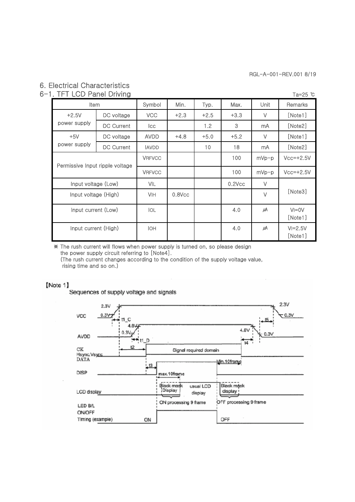## 6. Electrical Characteristics

## 6-1. TFT LCD Panel Driving Ta=25 ℃

| Item                            |                   | Symbol        | Min.      | Typ.   | Max.      | Unit                | Remarks                |  |  |
|---------------------------------|-------------------|---------------|-----------|--------|-----------|---------------------|------------------------|--|--|
| $+2.5V$                         | DC voltage        | <b>VCC</b>    | $+2.3$    | $+2.5$ | $+3.3$    | V                   | [Note1]                |  |  |
| power supply                    | <b>DC Current</b> | lcc           |           | 1.2    | 3         | mA                  | [Note2]                |  |  |
| $+5V$                           | DC voltage        | <b>AVDD</b>   | $+4.8$    | $+5.0$ | $+5.2$    | V                   | [Note1]                |  |  |
| power supply                    | <b>DC Current</b> | <b>AVDD</b>   |           | 10     | 18        | mA                  | [Note2]                |  |  |
| Permissive Input ripple voltage |                   | <b>VRFVCC</b> |           |        | 100       | $mVp-p$             | $Vcc=+2.5V$            |  |  |
|                                 |                   | <b>VRFVCC</b> |           |        | 100       | $mVp-p$             | $Vcc = +2.5V$          |  |  |
| Input voltage (Low)             |                   | VIL           |           |        | $0.2$ Vcc | V                   |                        |  |  |
| Input voltage (High)            |                   | <b>VIH</b>    | $0.8$ Vcc |        |           | $\vee$              | [Note3]                |  |  |
| Input current (Low)             | <b>IOL</b>        |               |           | 4.0    | μA        | $V = 0V$<br>[Note1] |                        |  |  |
| Input current (High)            |                   | <b>IOH</b>    |           |        | 4.0       | μA                  | $VI = 2.5V$<br>[Note1] |  |  |

※ The rush current will flows when power supply is turned on, so please design the power supply circuit referring to [Note4]. (The rush current changes according to the condition of the supply voltage value, rising time and so on.)

#### [Note 1]

Sequences of supply voltage and signals

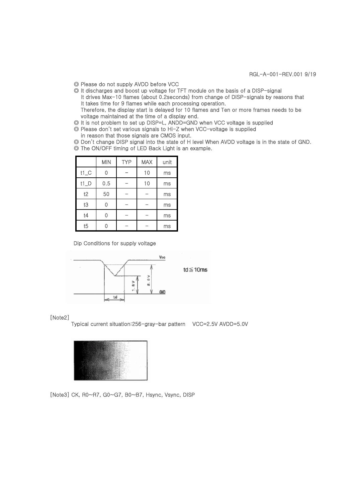- ◎ Please do not supply AVDD before VCC
- ◎ It discharges and boost up voltage for TFT module on the basis of a DISP-signal It drives Max-10 flames (about 0.2seconds) from change of DISP-signals by reasons that It takes time for 9 flames while each processing operation. Therefore, the display start is delayed for 10 flames and Ten or more frames needs to be voltage maintained at the time of a display end.
- ◎ It is not problem to set up DISP=L, ANDD=GND when VCC voltage is supplied
- ◎ Please don't set various signals to Hi-Z when VCC-voltage is supplied in reason that those signals are CMOS input.

◎ Don't change DISP signal into the state of H level When AVDD voltage is in the state of GND. ◎ The ON/OFF timing of LED Back Light is an example.

|        | <b>MIN</b> | <b>TYP</b> | <b>MAX</b> | unit |
|--------|------------|------------|------------|------|
| $t1_C$ |            |            | 10         | ms   |
| $t1_D$ | 0.5        |            | 10         | ms   |
| t2     | 50         |            |            | ms   |
| t3     |            |            |            | ms   |
| t4     |            |            |            | ms   |
| t5     |            |            |            | ms   |

Dip Conditions for supply voltage



#### [Note2]

Typical current situation:256-gray-bar pattern VCC=2.5V AVDD=5.0V



[Note3] CK, R0~R7, G0~G7, B0~B7, Hsync, Vsync, DISP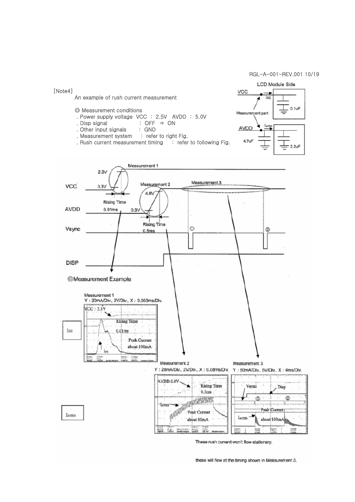#### RGL-A-001-REV.001 10/19



These rush current won't flow stationary,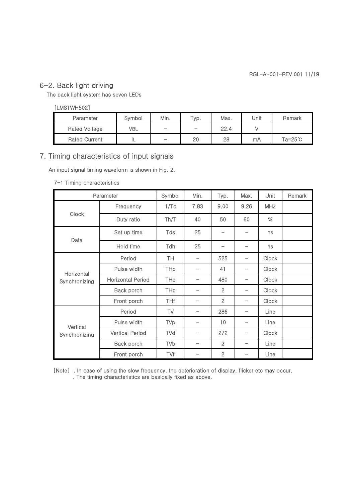## 6-2. Back light driving

The back light system has seven LEDs

#### [LMSTWH502]

| Parameter            | Svmbol | Min.                     | Typ.              | Max. | Unit | Remark             |
|----------------------|--------|--------------------------|-------------------|------|------|--------------------|
| <b>Rated Voltage</b> | VBL    | $\overline{\phantom{0}}$ | $\hspace{0.05cm}$ | 22.4 |      |                    |
| <b>Rated Current</b> | ╌      | $\overline{\phantom{0}}$ | 20                | 28   | mA   | $Ta = 25^{\circ}C$ |

## 7. Timing characteristics of input signals

An input signal timing waveform is shown in Fig. 2.

#### 7-1 Timing characteristics

|               | Parameter                | Symbol                | Min. | Typ.           | Max.            | Unit         | Remark |
|---------------|--------------------------|-----------------------|------|----------------|-----------------|--------------|--------|
|               | Frequency                | 1/Tc                  | 7.83 | 9.00           | 9.26            | <b>MHZ</b>   |        |
| Clock         | Duty ratio               | Th/T                  | 40   | 50             | 60              | %            |        |
| Data          | Set up time              | Tds                   | 25   |                |                 | ns           |        |
|               | Hold time                | <b>Tdh</b>            | 25   |                |                 | ns           |        |
| Horizontal    | Period                   | TH                    |      | 525            |                 | <b>Clock</b> |        |
|               | Pulse width              | <b>THp</b>            |      | 41             |                 | <b>Clock</b> |        |
| Synchronizing | <b>Horizontal Period</b> | <b>THd</b>            |      | 480            |                 | <b>Clock</b> |        |
|               | Back porch               | <b>TH<sub>b</sub></b> |      | $\overline{2}$ |                 | <b>Clock</b> |        |
|               | Front porch              | <b>THf</b>            |      | $\overline{2}$ | $\qquad \qquad$ | <b>Clock</b> |        |
|               | Period                   | TV                    | -    | 286            | -               | Line         |        |
| Vertical      | Pulse width              | <b>TVp</b>            |      | 10             |                 | Line         |        |
| Synchronizing | <b>Vertical Period</b>   | TVd                   |      | 272            |                 | <b>Clock</b> |        |
|               | Back porch               | <b>TVb</b>            | -    | $\overline{2}$ | -               | Line         |        |
|               | Front porch              | TVf                   |      | $\overline{2}$ |                 | Line         |        |

[Note] . In case of using the slow frequency, the deterioration of display, flicker etc may occur. . The timing characteristics are basically fixed as above.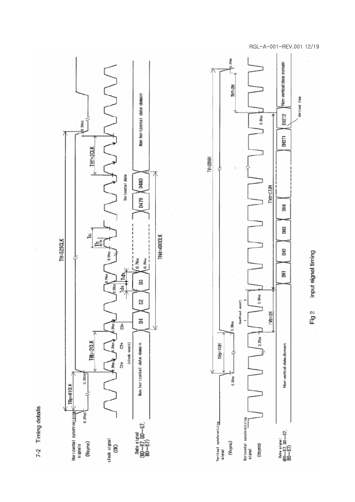





#### RGL-A-001-REV.001 12/19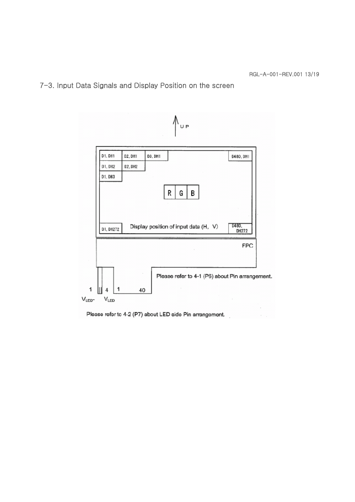## 7-3. Input Data Signals and Display Position on the screen

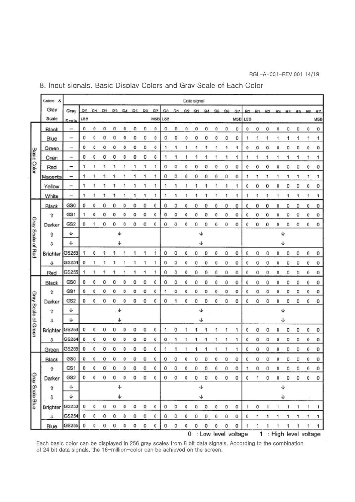## 8. Input signals, Basic Display Colors and Gray Scale of Each Color

|                     | Colors<br>- 84 |                          |     |           |    |    |    |    |                |     |     |     |          | Date signal |    |     |    |                       |     |    |                        |     |                |           |                |     |
|---------------------|----------------|--------------------------|-----|-----------|----|----|----|----|----------------|-----|-----|-----|----------|-------------|----|-----|----|-----------------------|-----|----|------------------------|-----|----------------|-----------|----------------|-----|
|                     | Gray           | Gray                     | R0  | <b>R1</b> | R2 | R3 | R4 | R5 | R <sub>6</sub> | R7  | Gû. | G1. |          | $G2$ $G3$   | G4 | GS. | G6 | G7                    | BO. | B1 | <b>B2</b>              | PЗ. | B <sub>4</sub> | <b>B5</b> | B <sub>3</sub> | B7  |
|                     | Scale          | Scale                    | LSB |           |    |    |    |    |                | M5B | L5B |     |          |             |    |     |    | <b>MSB LSB</b>        |     |    |                        |     |                |           |                | MSB |
|                     | Black          | -                        | 0   | 0         | ٥  | 0  | 0  | 0  | 0              | 0   | 0   | 0   | ٥        | 0           | 0  | 0   | 0  | 0                     | 0   | 0  | 0                      | 0   | 0              | 0         | 0              | o   |
|                     | Blue           | -                        | 0   | 0         | 0  | 0  | 0  | 0  | 0              | 0   | 0   | 0   | 0        | 0           | 0  | 0   | 0  | 0                     | 1   | 1  | 1                      |     | 1              | 1         | 1              | 1   |
|                     | Green          | $\hspace{0.05cm}$        | ٥   | 0         | ٥  | 0  | 0  | ٥  | ٥              | 0   | 1   | 1   | 1        | 1           | 1  | 1   | 1  | 1                     | 0   | 0  | 0                      | 0   | 0              | ٥         | 0              | o   |
| <b>Basic Color</b>  | Cyan           | -                        | 0   | 0         | 0  | 0  | 0  | 0  | 0              | 0   | 1   | 1   |          | 1           | 1  | 1   | 1  | 1                     | 1   | 1  | 1                      |     | 1              | 1         | 1              | 1   |
|                     | Red            | -                        | 1   | 1         | 1  | 1  | 1  | 1  | 1              | 1   | 0   | 0   | 0        | 0           | 0  | 0   | 0  | 0                     | 0   | 0  | o                      | 0   | 0              | o         | 0              | о   |
|                     | Magenta        | -                        | 1   | 1         | 1  | 1  |    | 1  | 1              | 1   | 0   | 0   | 0        | 0           | 0  | 0   | 0  | 0                     | 1   | 1  | 1                      | 1   | 1              | 1         | 1              | 1   |
|                     | Yellow         |                          | 1   | 1         | 1  | 1  |    | 1  | 1              | 1   | 1   | 1   | 1        | 1           | 1  | 1   | 1  | 1                     | 0   | 0  | 0                      | 0   | 0              | 0         | 0              | 0   |
|                     | White          | $\overline{\phantom{0}}$ | 1   | 1         | 1  | 1  |    | 1  | 1              | 1   | 1   | 1   | 1        | 1           | 1  | 1   | 1  | 1                     | 1   | 1  | 1                      | 1   | 1              | 1         | 1              | 1   |
|                     | Black          | GS0                      | 0   | 0         | 0  | 0  | 0  | 0  | 0              | 0   | 0   | 0   | 0        | 0           | 0  | 0   | 0  | 0                     | 0   | 0  | 0                      | 0   | 0              | 0         | 0              | 0   |
|                     | î              | GS1                      | 1   | 0         | 0  | o  | 0  | 0  | 0              | 0   | 0   | 0   | 0        | 0           | 0  | 0   | 0  | о                     | 0   | 0  | 0                      | 0   | 0              | 0         | c              | 0   |
|                     | Darker         | GS <sub>2</sub>          | 0   | 1         | 0  | 0  | 0  | 0  | 0              | 0   | 0   | 0   | 0        | ٥           | 0  | 0   | ٥  | 0                     | ٥   | o  | ٥                      | ٥   | ٥              | ٥         | 0              | o   |
| Gray Scale of Red   | ⇧              | ψ                        |     |           |    | v  |    |    |                |     |     |     |          | ψ           |    |     |    |                       |     |    |                        | ↓   |                |           |                |     |
|                     | ⇩              | ↓                        |     |           |    | ↓  |    |    |                |     |     |     |          | ↓           |    |     |    |                       |     |    |                        |     |                |           |                |     |
|                     | Brighter       | GS253                    | 1   | 0         | 1  | 1  |    | 1  | 1              | 1   | ٥   | 0   | 0        | 0           | 0  | 0   | 0  | 0                     | 0   | 0  | 0                      | 0   | 0              | 0         | 0              | 0   |
|                     | ⇩              | GS254                    | 0   | 1         | 1  | 1  |    | 1  | 1              | 1   | 0   | 0   | 0        | 0           | 0  | 0   | 0  | 0                     | O   | 0  | U                      | o   | 0              | U         | 0              | o   |
|                     | Red            | GS255                    | 1   | 1         | 1  | 1  |    | 1  | 1              | 1   | 0   | 0   | 0        | 0           | 0  | 0   | 0  | 0                     | 0   | 0  | 0                      | 0   | 0              | 0         | 0              | 0   |
|                     | <b>Black</b>   | GS0                      | 0   | 0         | 0  | 0  | 0  | 0  | 0              | 0   | 0   | 0   | 0        | 0           | 0  | 0   | 0  | 0                     | 0   | 0  | 0                      | 0   | 0              | 0         | 0              | 0   |
|                     | ⇧              | GS1                      | ٥   | 0         | ٥  | ٥  | 0  | ٥  | ٥              | 0   | 1   | ٥   | 0        | 0           | 0  | 0   | 0  | o                     | 0   | ٥  | 0                      | 0   | 0              | ٥         | ٥              | o   |
|                     | Darker         | GS <sub>2</sub>          | 0   | 0         | 0  | 0  | 0  | 0  | 0              | 0   | 0   | 1   | 0        | 0           | 0  | 0   | 0  | 0                     | 0   | 0  | 0                      | 0   | 0              | 0         | 0              | 0   |
|                     | Ŷ              | J                        |     |           |    | ψ  |    |    |                |     |     |     |          | ↓           |    |     |    |                       |     |    |                        | ↓   |                |           |                |     |
|                     | J              | ↓                        |     |           |    | ഄ  |    |    |                |     |     |     |          | ↵           |    |     |    |                       |     |    |                        | Ψ   |                |           |                |     |
| Gray Scale of Green | Brighter       | GS253                    | 0   | 0         | 0  | 0  | o  | 0  | 0              | 0   | 1   | 0   | 1        | 1           | 1  | 1   | 1  | 1                     | 0   | 0  | 0                      | 0   | 0              | 0         | 0              | 0   |
|                     | J              | GS254                    | о   | 0         | о  | 0  | 0  | 0  | 0              | 0   | ٥   | 1   |          | 1           |    | 1   | 1  | 1                     | 0   | 0  | 0                      | 0   | 0              | о         | 0              | 0   |
|                     | Green          | GS255                    | 0   | 0         | 0  | 0  | 0  | 0  | 0              | 0   | 1   | 1   |          | 1           | 1  | 1   | 1  | 1                     | 0   | 0  | 0                      | 0   | 0              | 0         | 0              | 0   |
|                     | <b>Black</b>   | GS0                      | 0   | 0         | Ù. | O  | 0  | 0  | 0              | 0   | 0   | o   | $\Omega$ | o           | o  | o   | 0  | 0                     | 0   | 0  | 0                      | o   | o              | 0         | 0              | 0   |
|                     | ⇧              | GS1                      | 0   | 0         | o. | 0  | 0  | 0  | 0              | 0   | 0   | 0   | 0        | 0           | 0  | 0   | 0  | 0                     | 1   | 0  | 0                      | 0   | 0              | 0         | 0              | 0   |
|                     | Darker         | GS <sub>2</sub>          | 0   | 0         | 0  | 0  | 0  | 0  | 0              | 0   | 0   | 0   | 0        | 0           | 0  | 0   | 0  | 0                     | 0   | 1  | 0                      | 0   | 0              | 0         | 0              | 0   |
| Gray Scale Blue     | ⇧              | Ψ                        |     |           |    | ↓  |    |    |                |     |     |     |          | ψ           |    |     |    |                       |     |    |                        | ↓   |                |           |                |     |
|                     | ⇩              | ↓                        |     |           |    | ↓  |    |    |                |     |     |     |          | ↓           |    |     |    |                       |     |    |                        | ↓   |                |           |                |     |
|                     | Brighter       | GS253                    | 0   | 0         | 0  | 0  | 0  | 0  | 0              | 0   | 0   | 0   | 0        | 0           | 0  | 0   | 0  | 0                     | 1   | 0  | 1                      |     | 1              | 1         | 1              | 1   |
|                     | J              | GS254                    | 0   | 0         | 0  | 0  | 0  | 0  | 0              | 0   | 0   | 0   | 0        | 0           | 0  | 0   | 0  | 0                     | 0   | 1  | 1                      | 1   | 1              | 1         | 1              | 1   |
|                     | Blue           | GS255                    | 0   | 0         | 0  | 0  | 0  | 0  | 0              | 0   | 0   | 0   | 0        | 0           | 0  | 0   | 0  | 0                     | 1   | 1  | 1                      | 1   | 1              | 1         | 1              | 1   |
|                     |                |                          |     |           |    |    |    |    |                |     |     |     |          |             |    |     |    | 0 : Low level voltage |     |    | 1 : High level voltage |     |                |           |                |     |

Each basic color can be displayed in 256 gray scales from 8 bit data signals. According to the combination of 24 bit data signals, the 16-million-color can be achieved on the screen.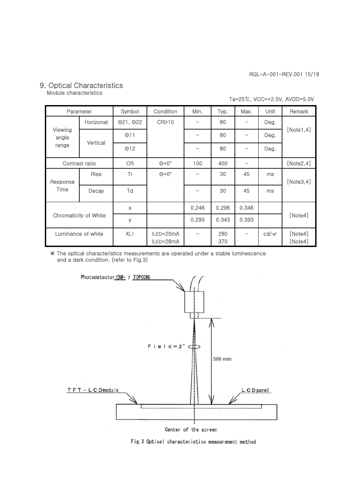## 9. Optical Characteristics

Module characteristics

| Ta=25℃, VCC=+2.5V, AVDD=5.0V |
|------------------------------|
|------------------------------|

| Parameter                    |           | Symbol                   | Condition              | Min.  | Typ.       | Max.                     | Unit              | Remark             |
|------------------------------|-----------|--------------------------|------------------------|-------|------------|--------------------------|-------------------|--------------------|
| Viewing<br>angle<br>range    | Horizonal | $\Theta$ 21, $\Theta$ 22 | CR>10                  |       | 80         | -                        | Deg.              |                    |
|                              |           | $\Theta$ 11              |                        |       | 80         | -                        | Deg.              | [Note1, 4]         |
|                              | Vertical  | $\Theta$ 12              |                        |       | 80         |                          | Deg.              |                    |
| Contrast ratio               |           | <b>CR</b>                | $\Theta = 0^\circ$     | 100   | 400        | $\overline{\phantom{0}}$ |                   | [Note2, 4]         |
| Response<br>Time             | Rise      | Tr                       | $\Theta = 0^\circ$     |       | 30         | 45                       | ms                | [Note3, 4]         |
|                              | Decay     | Td                       |                        |       | 30         | 45                       | ms                |                    |
| <b>Chromaticity of White</b> |           | $\boldsymbol{\times}$    |                        | 0.246 | 0.296      | 0.346                    |                   |                    |
|                              |           | y                        |                        | 0.293 | 0.343      | 0.393                    |                   | [Note4]            |
| Luminance of white           |           | XL <sub>1</sub>          | ILED=20mA<br>ILED=28mA |       | 280<br>370 |                          | cd/m <sup>2</sup> | [Note4]<br>[Note4] |

※ The optical characteristics measurements are operated under a stable luminescence and a dark condition. (refer to Fig.3)



Center of the screen

Fig. 3 Optical characteristics measurement method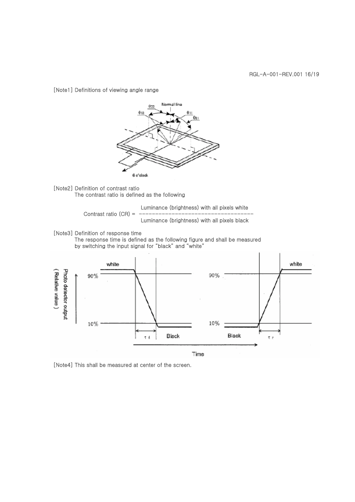[Note1] Definitions of viewing angle range



[Note2] Definition of contrast ratio The contrast ratio is defined as the following

Luminance (brightness) with all pixels white Contrast ratio  $(CR)$  = Luminance (brightness) with all pixels black

[Note3] Definition of response time

The response time is defined as the following figure and shall be measured by switching the input signal for "black" and "white"



[Note4] This shall be measured at center of the screen.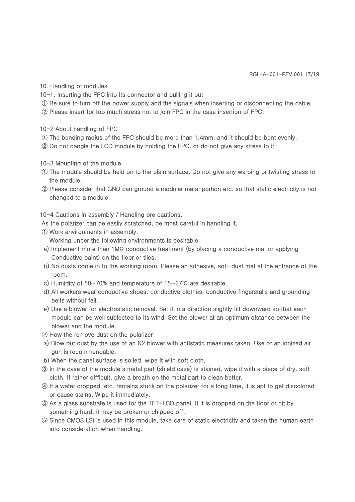- 10. Handling of modules
- 10-1. Inserting the FPC into its connector and pulling it out
- ① Be sure to turn off the power supply and the signals when inserting or disconnecting the cable.
- ② Please insert for too much stress not to join FPC in the case insertion of FPC.
- 10-2 About handling of FPC
- ① The bending radius of the FPC should be more than 1.4mm, and it should be bent evenly.
- ② Do not dangle the LCD module by holding the FPC, or do not give any stress to it.
- 10-3 Mounting of the module
- ① The module should be held on to the plain surface. Do not give any warping or twisting stress to the module.
- ② Please consider that GND can ground a modular metal portion etc. so that static electricity is not changed to a module.

10-4 Cautions in assembly / Handling pre cautions.

- As the polarizer can be easily scratched, be most careful in handling it.
- ① Work environments in assembly. Working under the following environments is desirable:
- a) Implement more than 1MΩ conductive treatment (by placing a conductive mat or applying Conductive paint) on the floor or tiles.
- b) No dusts come in to the working room. Please an adhesive, anti-dust mat at the entrance of the room.
- c) Humidity of 50~70% and temperature of 15~27℃ are desirable.
- d) All workers wear conductive shoes, conductive clothes, conductive fingerstalls and grounding belts without fail.
- e) Use a blower for electrostatic removal. Set it in a direction slightly tilt downward so that each module can be well subjected to its wind. Set the blower at an optimum distance between the blower and the module.
- ② How the remove dust on the polarizer
- a) Blow out dust by the use of an N2 blower with antistatic measures taken. Use of an ionized air gun is recommendable.
- b) When the panel surface is soiled, wipe it with soft cloth.
- ③ In the case of the module's metal part (shield case) is stained, wipe it with a piece of dry, soft cloth. If rather difficult, give a breath on the metal part to clean better.
- ④ If a water dropped, etc. remains stuck on the polarizer for a long time, it is apt to get discolored or cause stains. Wipe it immediately.
- ⑤ As a glass substrate is used for the TFT-LCD panel, if it is dropped on the floor or hit by something hard, it may be broken or chipped off.
- ⑥ Since CMOS LSI is used in this module, take care of static electricity and taken the human earth into consideration when handling.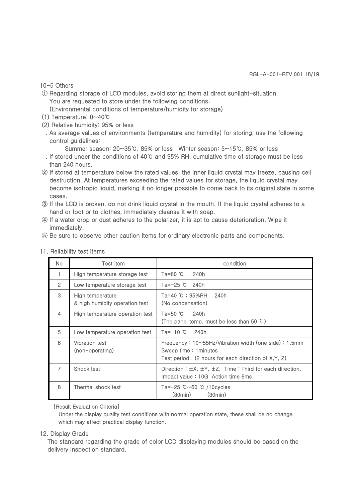#### 10-5 Others

① Regarding storage of LCD modules, avoid storing them at direct sunlight-situation. You are requested to store under the following conditions:

(Environmental conditions of temperature/humidity for storage)

- (1) Temperature: 0~40℃
- (2) Relative humidity: 95% or less
- . As average values of environments (temperature and humidity) for storing, use the following control quidelines:

Summer season: 20~35℃, 85% or less Winter season: 5~15℃, 85% or less

- . If stored under the conditions of 40℃ and 95% RH, cumulative time of storage must be less than 240 hours.
- ② If stored at temperature below the rated values, the inner liquid crystal may freeze, causing cell destruction. At temperatures exceeding the rated values for storage, the liquid crystal may become isotropic liquid, marking it no longer possible to come back to its original state in some cases.
- ③ If the LCD is broken, do not drink liquid crystal in the mouth. If the liquid crystal adheres to a hand or foot or to clothes, immediately cleanse it with soap.
- ④ If a water drop or dust adheres to the polarizer, it is apt to cause deterioration. Wipe it immediately.
- ⑤ Be sure to observe other caution items for ordinary electronic parts and components.

| No. | Test item                                          | condition                                                                                                                                    |  |  |  |
|-----|----------------------------------------------------|----------------------------------------------------------------------------------------------------------------------------------------------|--|--|--|
|     | High temperature storage test                      | 240h<br>Та=60 ℃                                                                                                                              |  |  |  |
| 2   | Low temperature storage test                       | Ta=-25 ℃ 240h                                                                                                                                |  |  |  |
| 3   | High temperature<br>& high humidity operation test | Ta=40 ℃; 95%RH<br>240h<br>(No condensation)                                                                                                  |  |  |  |
| 4   | High temperature operation test                    | Ta=50 $^{\circ}$ C<br>240h<br>(The panel temp. must be less than 50 $\degree$ C)                                                             |  |  |  |
| 5   | Low temperature operation test                     | Ta=-10 ℃<br>240h                                                                                                                             |  |  |  |
| 6   | <b>Vibration test</b><br>(non-operating)           | Frequency: $10 \sim 55$ Hz/Vibration width (one side): 1.5mm<br>Sweep time: 1 minutes<br>Test period: (2 hours for each direction of X,Y, Z) |  |  |  |
| 7   | Shock test                                         | Direction: $\pm X$ , $\pm Y$ , $\pm Z$ , Time: Third for each direction.<br>Impact value: 10G Action time 6ms                                |  |  |  |
| 8   | Thermal shock test                                 | Ta=-25 ℃~60 ℃ /10cycles<br>(30min)<br>(30min)                                                                                                |  |  |  |

11. Reliability test items

[Result Evaluation Criteria]

Under the display quality test conditions with normal operation state, these shall be no change which may affect practical display function.

#### 12. Display Grade

The standard regarding the grade of color LCD displaying modules should be based on the delivery inspection standard.